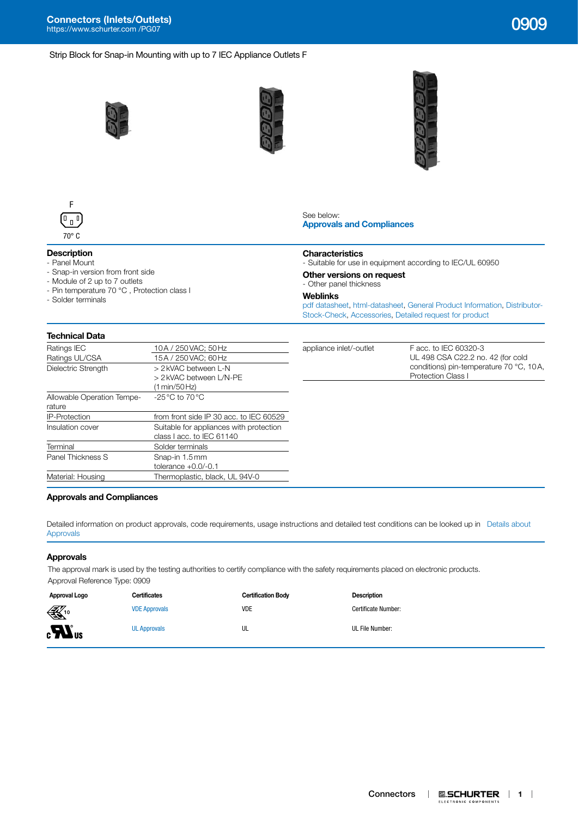**Connectors (Inlets/Outlets)** [https://www.schurter.com /PG07](https://www.schurter.com/en/PG07) 0909

## Strip Block for Snap-in Mounting with up to 7 IEC Appliance Outlets F









## **Description**

- Panel Mount
- Snap-in version from front side - Module of 2 up to 7 outlets
- Pin temperature 70 °C , Protection class I
- Solder terminals

#### See below: **[Approvals and Compliances](#page-0-0)**

#### **Characteristics**

- Suitable for use in equipment according to IEC/UL 60950

#### **Other versions on request**

- Other panel thickness

#### **Weblinks**

[pdf datasheet](http://www.schurter.ch/pdf/english/typ_0909.pdf), [html-datasheet,](http://www.schurter.ch/en/datasheet/0909) [General Product Information](https://www.schurter.com/en/Components/Connectors/General-Product-Information), [Distributor-](https://www.schurter.com/en/Stock-Check/Stock-Check-Distributor?partnumber1=0909)[Stock-Check](https://www.schurter.com/en/Stock-Check/Stock-Check-Distributor?partnumber1=0909), [Accessories](https://www.schurter.ch/en/wwwsc/con_z01.asp), [Detailed request for product](https://www.schurter.com/en/Contacts/Contact-Form?type=0909)

UL 498 CSA C22.2 no. 42 (for cold conditions) pin-temperature 70 °C, 10A,

## **Technical Data**

| Ratings IEC                | 10A / 250 VAC; 50 Hz                             | appliance inlet/-outlet | F acc. to IEC 60320-3     |
|----------------------------|--------------------------------------------------|-------------------------|---------------------------|
| Ratings UL/CSA             | 15A / 250 VAC: 60 Hz                             |                         | UL 498 CSA C22.2 no       |
| Dielectric Strength        | > 2 kVAC between L-N                             |                         | conditions) pin-temper    |
|                            | > 2 kVAC between L/N-PE                          |                         | <b>Protection Class I</b> |
|                            | (1 min/50 Hz)                                    |                         |                           |
| Allowable Operation Tempe- | $-25\,^{\circ}\text{C}$ to 70 $^{\circ}\text{C}$ |                         |                           |
| rature                     |                                                  |                         |                           |
| <b>IP-Protection</b>       | from front side IP 30 acc. to IEC 60529          |                         |                           |
| Insulation cover           | Suitable for appliances with protection          |                         |                           |
|                            | class I acc. to IEC 61140                        |                         |                           |
| Terminal                   | Solder terminals                                 |                         |                           |
| Panel Thickness S          | Snap-in 1.5mm                                    |                         |                           |
|                            | tolerance $+0.0/-0.1$                            |                         |                           |
| Material: Housing          | Thermoplastic, black, UL 94V-0                   |                         |                           |
|                            |                                                  |                         |                           |

#### <span id="page-0-0"></span>**Approvals and Compliances**

Detailed information on product approvals, code requirements, usage instructions and detailed test conditions can be looked up in [Details about](https://www.schurter.com/en/Components/Connectors/General-Product-Information#1.1)  [Approvals](https://www.schurter.com/en/Components/Connectors/General-Product-Information#1.1)

#### **Approvals**

The approval mark is used by the testing authorities to certify compliance with the safety requirements placed on electronic products. Approval Reference Type: 0909

| Approval Logo                  | Certificates         | <b>Certification Body</b> | Description         |
|--------------------------------|----------------------|---------------------------|---------------------|
| $\mathbb{K}$ <sup>10</sup>     | <b>VDE Approvals</b> | <b>VDE</b>                | Certificate Number: |
| $\boldsymbol{H}$ <sub>us</sub> | <b>UL Approvals</b>  | UL                        | UL File Number:     |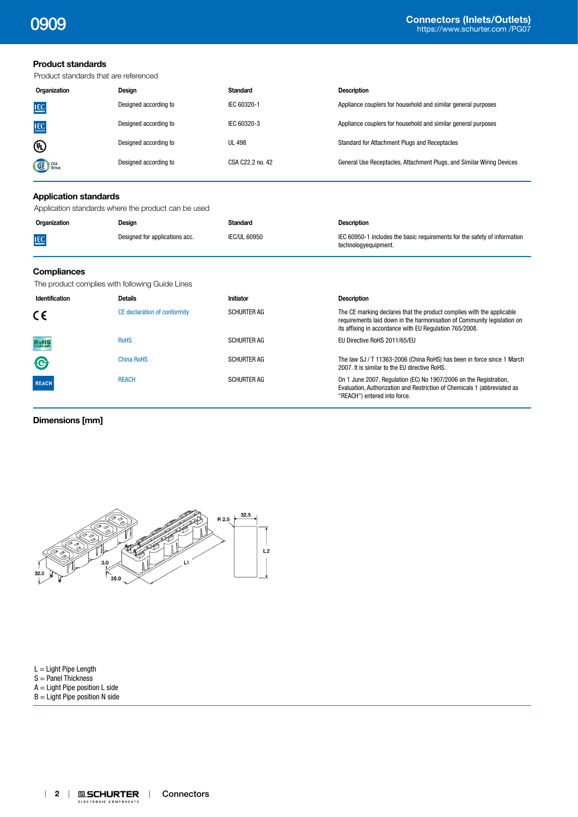## **Product standards**

Product standards that are referenced

| Organization  | Desian                | <b>Standard</b>  | <b>Description</b>                                                    |
|---------------|-----------------------|------------------|-----------------------------------------------------------------------|
| <b>IEC</b>    | Designed according to | IEC 60320-1      | Appliance couplers for household and similar general purposes         |
| <b>IEC</b>    | Designed according to | IEC 60320-3      | Appliance couplers for household and similar general purposes         |
| ⋓             | Designed according to | <b>UL 498</b>    | Standard for Attachment Plugs and Receptacles                         |
| <b>SE</b> CSA | Designed according to | CSA C22.2 no. 42 | General Use Receptacles, Attachment Plugs, and Similar Wiring Devices |

#### **Application standards**

Application standards where the product can be used

| Organization | Design                         | Standard            | <b>Description</b>                                                                                |
|--------------|--------------------------------|---------------------|---------------------------------------------------------------------------------------------------|
| <b>IEC</b>   | Designed for applications acc. | <b>IEC/UL 60950</b> | IEC 60950-1 includes the basic requirements for the safety of information<br>technologyeguipment. |

## **Compliances**

The product complies with following Guide Lines

| Identification | <b>Details</b>               | <b>Initiator</b>   | <b>Description</b>                                                                                                                                                                                          |
|----------------|------------------------------|--------------------|-------------------------------------------------------------------------------------------------------------------------------------------------------------------------------------------------------------|
| CE.            | CE declaration of conformity | <b>SCHURTER AG</b> | The CE marking declares that the product complies with the applicable<br>requirements laid down in the harmonisation of Community legislation on<br>its affixing in accordance with EU Regulation 765/2008. |
| <b>RoHS</b>    | <b>RoHS</b>                  | <b>SCHURTER AG</b> | EU Directive RoHS 2011/65/EU                                                                                                                                                                                |
| <b>e</b>       | <b>China RoHS</b>            | <b>SCHURTER AG</b> | The law SJ / T 11363-2006 (China RoHS) has been in force since 1 March<br>2007. It is similar to the EU directive RoHS.                                                                                     |
| <b>REACH</b>   | <b>REACH</b>                 | <b>SCHURTER AG</b> | On 1 June 2007, Regulation (EC) No 1907/2006 on the Registration,<br>Evaluation, Authorization and Restriction of Chemicals 1 (abbreviated as<br>"REACH") entered into force.                               |

## **Dimensions [mm]**



# L = Light Pipe Length

 $S =$  Panel Thickness

- A = Light Pipe position L side
- $B =$  Light Pipe position N side